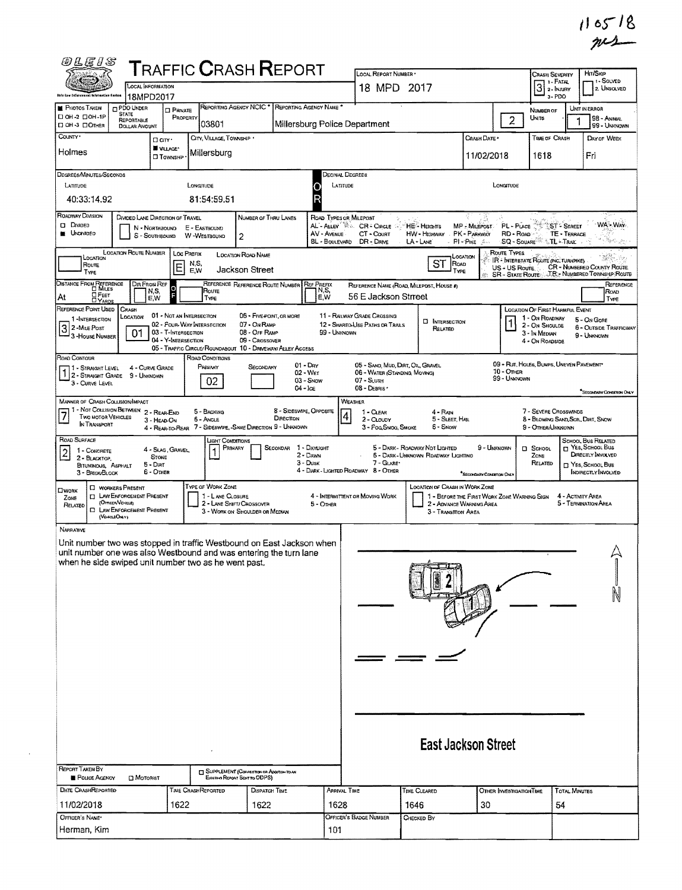$110518$ 

| <i>®LEIS</i>                                                                                                                                                                                                                                                                                                                                                                                                                                                                                         |                                                                                                                                        |                                                                        | <b>T</b> RAFFIC <b>C</b> RASH <b>R</b> EPORT                                   |                                                                                                      |                                                    |                                                                                                                                                                                                                                                                                                                                          |                                                                                                                                                                                                                  |                                            |              |                                                                                           |                                                                                      |                              | Hrt/Sigp                                                    |  |  |  |  |
|------------------------------------------------------------------------------------------------------------------------------------------------------------------------------------------------------------------------------------------------------------------------------------------------------------------------------------------------------------------------------------------------------------------------------------------------------------------------------------------------------|----------------------------------------------------------------------------------------------------------------------------------------|------------------------------------------------------------------------|--------------------------------------------------------------------------------|------------------------------------------------------------------------------------------------------|----------------------------------------------------|------------------------------------------------------------------------------------------------------------------------------------------------------------------------------------------------------------------------------------------------------------------------------------------------------------------------------------------|------------------------------------------------------------------------------------------------------------------------------------------------------------------------------------------------------------------|--------------------------------------------|--------------|-------------------------------------------------------------------------------------------|--------------------------------------------------------------------------------------|------------------------------|-------------------------------------------------------------|--|--|--|--|
| ISIs Law Enforcement Information Exchem                                                                                                                                                                                                                                                                                                                                                                                                                                                              |                                                                                                                                        | <b>LOCAL INFORMATION</b><br>18MPD2017                                  |                                                                                |                                                                                                      |                                                    |                                                                                                                                                                                                                                                                                                                                          | LOCAL REPORT NUMBER<br>18 MPD 2017                                                                                                                                                                               |                                            |              | Crash Severity<br>1 i - Solved<br>1 1 - Fatal<br>$3$ $\cdot$ FAIR<br>2. UNSOLVED<br>3-PDO |                                                                                      |                              |                                                             |  |  |  |  |
| <b>PHOTOS TAKEN</b><br>□ 0Н-2 □ 0Н-1Р                                                                                                                                                                                                                                                                                                                                                                                                                                                                | PDO UNDER<br><b>STATE</b>                                                                                                              | $\Box$ Private<br>PROPERTY                                             |                                                                                | REPORTING AGENCY NCIC <sup>*</sup>                                                                   |                                                    | REPORTING AGENCY NAME                                                                                                                                                                                                                                                                                                                    |                                                                                                                                                                                                                  |                                            |              |                                                                                           | NUMBER OF                                                                            |                              | UNIT IN ERROR                                               |  |  |  |  |
| C OH-3 COTHER                                                                                                                                                                                                                                                                                                                                                                                                                                                                                        | REPORTABLE<br><b>DOLLAR AMOUNT</b>                                                                                                     |                                                                        | 03801                                                                          |                                                                                                      |                                                    |                                                                                                                                                                                                                                                                                                                                          | Millersburg Police Department                                                                                                                                                                                    |                                            |              | $\overline{2}$                                                                            | UNITS                                                                                |                              | 98 - ANIMAL<br>99 - UNKNOWN                                 |  |  |  |  |
| COUNTY '                                                                                                                                                                                                                                                                                                                                                                                                                                                                                             |                                                                                                                                        | D CITY *<br><b>M</b> VILLAGE*                                          | CITY, VILLAGE, TOWNSHIP .                                                      |                                                                                                      |                                                    |                                                                                                                                                                                                                                                                                                                                          |                                                                                                                                                                                                                  |                                            | Сяльн Олте • |                                                                                           |                                                                                      | TIME OF CRASH<br>DAY OF WEEK |                                                             |  |  |  |  |
| Holmes                                                                                                                                                                                                                                                                                                                                                                                                                                                                                               |                                                                                                                                        | <b>D</b> TOWNSHIP                                                      | Millersburg                                                                    |                                                                                                      |                                                    |                                                                                                                                                                                                                                                                                                                                          |                                                                                                                                                                                                                  |                                            | 11/02/2018   |                                                                                           | 1618                                                                                 |                              | Fri                                                         |  |  |  |  |
| DEGREES/MINUTES/SECONDS<br>LATITUDE                                                                                                                                                                                                                                                                                                                                                                                                                                                                  |                                                                                                                                        |                                                                        | LONGITUDE                                                                      |                                                                                                      |                                                    |                                                                                                                                                                                                                                                                                                                                          | Decimal Degrees                                                                                                                                                                                                  |                                            |              |                                                                                           |                                                                                      |                              |                                                             |  |  |  |  |
| 40:33:14.92                                                                                                                                                                                                                                                                                                                                                                                                                                                                                          |                                                                                                                                        |                                                                        | 81:54:59.51                                                                    |                                                                                                      |                                                    | О                                                                                                                                                                                                                                                                                                                                        | LATITUDE<br>LONGITUDE                                                                                                                                                                                            |                                            |              |                                                                                           |                                                                                      |                              |                                                             |  |  |  |  |
| ROADWAY DIVISION<br>DIVIDED LANE DIRECTION OF TRAVEL<br>NUMBER OF THRU LANES<br>ROAD TYPES OR MILEPOST<br><b>Q</b> Divideo<br>PL - PLACE<br>AL - ALLEY X  CR - CIRCLE<br>HE-Hamms<br>MP - MILEPOST<br><b>ST - STREET</b><br>N - NORTHBOUND<br>E - EASTBOUND<br><b>UNOIVIDED</b><br>AV - AVENUE<br>CT - Count<br>PK - PARKWAY<br>RD - Road<br>TE - TERRACE<br>HW - HIGHWAY<br>2<br>S - SOUTHBOUND<br>W -WESTBOUND<br>BL - BOULEVARD<br>DR - DRNE<br>LA * LANE<br>PI-Pike ≗.<br>SQ - SOUARE TL - TRAIL |                                                                                                                                        |                                                                        |                                                                                |                                                                                                      |                                                    |                                                                                                                                                                                                                                                                                                                                          |                                                                                                                                                                                                                  |                                            |              |                                                                                           |                                                                                      |                              | WA - WAY                                                    |  |  |  |  |
| LOCATION ROUTE NUMBER<br>ROUTE TYPES<br>LOC PREFIX<br>LOCATION ROAD NAME<br>Location<br>LOCATION<br>IR - INTERBTATE ROUTE (INC. TURNPIKE)<br>ST<br>ROAD<br>N,S,<br>Route<br>E<br>CR - NUMBERED COUNTY ROUTE<br>US - US Route                                                                                                                                                                                                                                                                         |                                                                                                                                        |                                                                        |                                                                                |                                                                                                      |                                                    |                                                                                                                                                                                                                                                                                                                                          |                                                                                                                                                                                                                  |                                            |              |                                                                                           |                                                                                      |                              |                                                             |  |  |  |  |
| <b>TYPE</b>                                                                                                                                                                                                                                                                                                                                                                                                                                                                                          |                                                                                                                                        |                                                                        | E,W                                                                            | Jackson Street                                                                                       |                                                    |                                                                                                                                                                                                                                                                                                                                          |                                                                                                                                                                                                                  | TYPE                                       |              |                                                                                           |                                                                                      |                              | SR - STATE ROUTE TR. NUMBERED TOWNSHIP ROUTE<br>REFERENCE   |  |  |  |  |
| DISTANCE FROM REFERENCE<br>DIR FROM REF<br>REFERENCE REFERENCE ROUTE NUMBER<br><b>REF PREFIX</b><br>REFERENCE NAME (ROAD, MILEPOST, HOUSE #)<br>Ō<br>N,S,<br><b>Route</b><br>N,S,<br>ОРеет<br>EW<br>56 E Jackson Strreet<br>At<br>E,W<br>TYPE<br><b>DYARDS</b>                                                                                                                                                                                                                                       |                                                                                                                                        |                                                                        |                                                                                |                                                                                                      |                                                    |                                                                                                                                                                                                                                                                                                                                          |                                                                                                                                                                                                                  |                                            |              |                                                                                           |                                                                                      |                              | ROAD<br>TYPE                                                |  |  |  |  |
| REFERENCE POINT USED<br>1-INTERSECTION<br>$32-MnE Post3-House Number$                                                                                                                                                                                                                                                                                                                                                                                                                                | CRASH<br>LOCATION<br>01                                                                                                                | 01 - Not an Intersection<br>03 - T-INTERSECTION<br>04 - Y-INTERSECTION | 02 - FOUR WAY INTERSECTION                                                     | 06 - FIVE POINT, OR MORE<br>07 - On Ramp<br>08 - Off Ramp<br>09 - CROSSOVER                          |                                                    | 99 - UNKNOWN                                                                                                                                                                                                                                                                                                                             | 11 - RAILWAY GRADE CROSSING<br>12 - SHARED-USE PATHS OR TRAILS                                                                                                                                                   | <b>C</b> INTERSECTION<br>RELATED           |              |                                                                                           | LOCATION OF FIRST HARMFUL EVENT<br>1 - On ROADWAY<br>2 - ON SHOULDE<br>3 - In Median |                              | 5 - ON GORE<br><b>6 - OUTSIDE TRAFFICWAY</b><br>9 - UNKNOWN |  |  |  |  |
| ROAD CONTOUR                                                                                                                                                                                                                                                                                                                                                                                                                                                                                         |                                                                                                                                        |                                                                        | 05 - TRAFFIC CIRCLE/ ROUNDABOUT 10 - DRIVEWAY/ ALLEY ACCESS<br>ROAD CONDITIONS |                                                                                                      |                                                    |                                                                                                                                                                                                                                                                                                                                          |                                                                                                                                                                                                                  |                                            |              |                                                                                           | 4 - On Roadside                                                                      |                              |                                                             |  |  |  |  |
| 1 - Straight Level<br>2 - STRAIGHT GRADE 9 - UNKNOWN<br>3 - CURVE LEVEL                                                                                                                                                                                                                                                                                                                                                                                                                              |                                                                                                                                        | 4 - CURVE GRADE                                                        | PRIMARY<br>02                                                                  | SECONDARY                                                                                            | $04 - \log$                                        | $01 - \text{Day}$<br>02 - Wer<br>03 - Snow                                                                                                                                                                                                                                                                                               | 09 - RUT, HOLES, BUMPS, UNEVEN PAVEMENT*<br>05 - Sand, Mud, DRT, OIL, GRAVEL<br>10 - Other<br>06 - WATER (STANDING, MOVING)<br>99 - UNKNOWN<br>$07 - SLUSH$<br>08 - DEBRIS -<br>"SECONDARY CONDITION ONLY        |                                            |              |                                                                                           |                                                                                      |                              |                                                             |  |  |  |  |
| <b>MANNER OF CRASH COLLISION/MPACT</b>                                                                                                                                                                                                                                                                                                                                                                                                                                                               |                                                                                                                                        |                                                                        |                                                                                |                                                                                                      |                                                    |                                                                                                                                                                                                                                                                                                                                          | WEATHER                                                                                                                                                                                                          |                                            |              |                                                                                           |                                                                                      |                              |                                                             |  |  |  |  |
| 1 - Not Collision Between 2 - REAR-END<br>7<br>Two MOTOR VEHICLES<br>IN TRANSPORT                                                                                                                                                                                                                                                                                                                                                                                                                    |                                                                                                                                        | 3 - HEAD-ON<br>4 - REAR-TO-REAR                                        | 5 - BACKING<br>6 - ANGLE<br>7 - SIDESWIPE, - SAME DIRECTION 9 - UNKNOWN        |                                                                                                      | 8 - SIDESWIPE, OPPOSITE<br>DIRECTION               |                                                                                                                                                                                                                                                                                                                                          | 7 - SEVERE CROSSWINDS<br>1 - CLEAR<br>4 - Ran<br>4<br>5 - Sleet, Hall<br>8 - Blowing Sand, Soil, Dirt, Snow<br>2 - CLOUDY<br>3 - Fog, SMOG, SMOKE<br>6 - Snow<br>9 - Other/Unknown                               |                                            |              |                                                                                           |                                                                                      |                              |                                                             |  |  |  |  |
| ROAD SURFACE<br>1 - CONCRETE<br>$\overline{c}$<br>2 - BLACKTOP<br>BITUMINOUS, ASPHALT<br>3 - BRICK BLOCK                                                                                                                                                                                                                                                                                                                                                                                             |                                                                                                                                        | 4 - Slag, Gravel<br><b>STONE</b><br>5 - Dar<br>6 - Other               | <b>LIGHT CONTATIONS</b><br>PRIMARY                                             |                                                                                                      | SECONDAR 1 - DAYLIGHT<br>$2 -$ Dawn<br>$3 - $ Dusk | SCHOOL BUS RELATED<br>T YES, SCHOOL Bus<br>5 - Dark - Roadway Not Lighted<br>9 - UNKNOWN<br><b>D</b> SCHOOL<br>DIRECTLY INVOLVED<br>5 - DARK-UNKNOWN ROADWAY LIGHTING<br>ZONE<br>7 - GLARE*<br>RELATED<br>Nes, School Bus<br>4 - DARK - LIGHTED ROADWAY 8 - OTHER<br><b>INDIRECTLY INVOLVED</b><br><sup>*</sup> SECONDARY CONDITION UNLY |                                                                                                                                                                                                                  |                                            |              |                                                                                           |                                                                                      |                              |                                                             |  |  |  |  |
| <b>OWORK</b><br>ZONE<br>RELATED                                                                                                                                                                                                                                                                                                                                                                                                                                                                      | <b>C WORKERS PRESENT</b><br><b>D</b> LAW ENFORCEMENT PRESENT<br>(OFFICER/VENICLE)<br><b>E LAW ENFORCEMENT PRESENT</b><br>(VEHICLEONLY) |                                                                        | <b>TYPE OF WORK ZONE</b><br>1 - LANE CLOSURE                                   | 2 - LANE SHIFT/ CROSSOVER<br>3 - WORK ON SHOULDER OR MEDIAN                                          |                                                    | 5 - Omer                                                                                                                                                                                                                                                                                                                                 | LOCATION OF CRASH IN WORK ZONE<br>4 - INTERMITTENT OR MOVING WORK<br>1 - BEFORE THE FIRST WORK ZONE WARNING SIGN<br>4 - ACTIVITY AREA<br>5 - TERNINATION AREA<br>2 - ADVANCE WARNING AREA<br>3 - TRANSITION AREA |                                            |              |                                                                                           |                                                                                      |                              |                                                             |  |  |  |  |
| NARRATIVE<br>Unit number two was stopped in traffic Westbound on East Jackson when<br>unit number one was also Westbound and was entering the turn lane<br>when he side swiped unit number two as he went past.<br>REPORT TAKEN BY<br><b>POLICE AGENCY</b><br>DATE CRASHREPORTED                                                                                                                                                                                                                     | MotoRist                                                                                                                               |                                                                        | <b>TIME CRASHREPORTED</b>                                                      | <b>ET SUPPLEMENT (CONNECTION OR ADDITION TO AN</b><br>Existing REPORT SENT TO ODPS)<br>DISPATCH TIME |                                                    |                                                                                                                                                                                                                                                                                                                                          | ARRIVAL TIME                                                                                                                                                                                                     | <b>East Jackson Street</b><br>TIME CLEARED |              | OTHER INVESTIGATION TIME                                                                  |                                                                                      | <b>TOTAL MINUTES</b>         |                                                             |  |  |  |  |
| 11/02/2018                                                                                                                                                                                                                                                                                                                                                                                                                                                                                           |                                                                                                                                        | 1622                                                                   |                                                                                | 1622                                                                                                 |                                                    | 1628                                                                                                                                                                                                                                                                                                                                     |                                                                                                                                                                                                                  | 1646                                       | 30           |                                                                                           |                                                                                      | 54                           |                                                             |  |  |  |  |
| <b>OFFICER'S NAME</b>                                                                                                                                                                                                                                                                                                                                                                                                                                                                                |                                                                                                                                        |                                                                        |                                                                                |                                                                                                      |                                                    |                                                                                                                                                                                                                                                                                                                                          | OFFICER'S BADGE NUMBER                                                                                                                                                                                           | CHECKED BY                                 |              |                                                                                           |                                                                                      |                              |                                                             |  |  |  |  |
| Herman, Kim                                                                                                                                                                                                                                                                                                                                                                                                                                                                                          |                                                                                                                                        |                                                                        |                                                                                | 101                                                                                                  |                                                    |                                                                                                                                                                                                                                                                                                                                          |                                                                                                                                                                                                                  |                                            |              |                                                                                           |                                                                                      |                              |                                                             |  |  |  |  |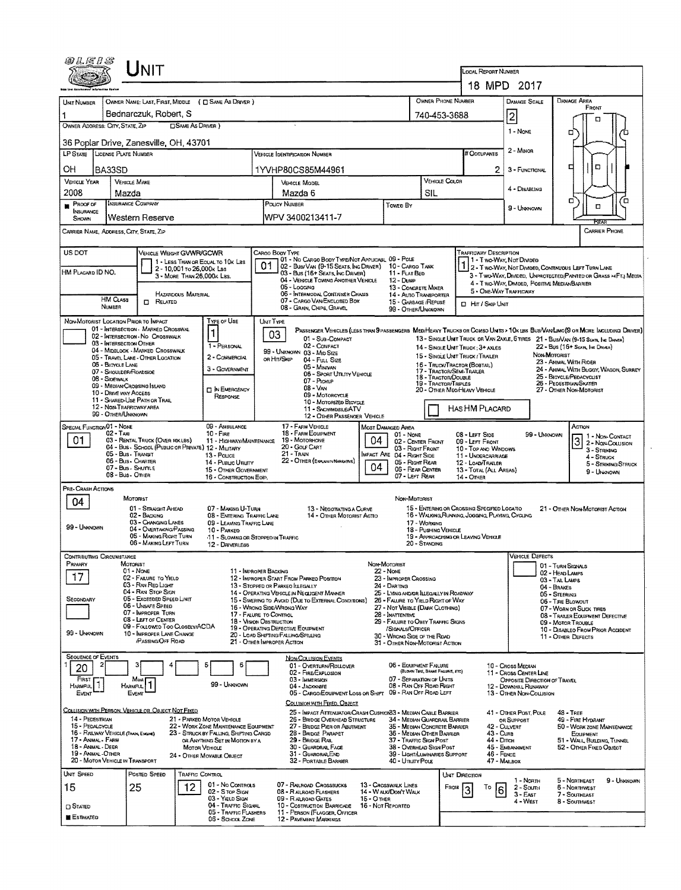| 04E1S                                                   |                                                | <b>NIT</b>                                                  |                            |                                                                                |                                           |                                                                                                          |                                 |                                                           |                                                                                              | LOCAL REPORT NUMBER                                                                            |                                                       |              |                                                                                                                              |  |  |
|---------------------------------------------------------|------------------------------------------------|-------------------------------------------------------------|----------------------------|--------------------------------------------------------------------------------|-------------------------------------------|----------------------------------------------------------------------------------------------------------|---------------------------------|-----------------------------------------------------------|----------------------------------------------------------------------------------------------|------------------------------------------------------------------------------------------------|-------------------------------------------------------|--------------|------------------------------------------------------------------------------------------------------------------------------|--|--|
|                                                         |                                                |                                                             |                            |                                                                                |                                           |                                                                                                          | 18 MPD 2017                     |                                                           |                                                                                              |                                                                                                |                                                       |              |                                                                                                                              |  |  |
| UNT NUMBER                                              |                                                |                                                             |                            | OWNER NAME: LAST, FIRST, MIDDLE ( C) SAME AS DRIVER )                          |                                           |                                                                                                          |                                 |                                                           | OWNER PHONE NUMBER                                                                           |                                                                                                | <b>DAMAGE SCALE</b>                                   |              | DAMAGE AREA<br>FRONT                                                                                                         |  |  |
|                                                         |                                                | Bednarczuk, Robert, S                                       |                            |                                                                                |                                           |                                                                                                          |                                 |                                                           | 740-453-3688                                                                                 |                                                                                                | $\overline{2}$                                        |              |                                                                                                                              |  |  |
| OWNER ADDRESS: CITY, STATE, ZIP                         |                                                |                                                             | <b>CISAME AS DRIVER</b> )  |                                                                                |                                           |                                                                                                          |                                 |                                                           | 1 - None<br>о                                                                                |                                                                                                |                                                       |              |                                                                                                                              |  |  |
|                                                         |                                                | 36 Poplar Drive, Zanesville, OH 43701                       |                            |                                                                                |                                           |                                                                                                          |                                 |                                                           |                                                                                              |                                                                                                |                                                       |              |                                                                                                                              |  |  |
| LP STATE LICENSE PLATE NUMBER                           |                                                |                                                             |                            |                                                                                |                                           |                                                                                                          | # Occupants                     | 2 - MINOR                                                 |                                                                                              |                                                                                                |                                                       |              |                                                                                                                              |  |  |
| OН                                                      | BA33SD                                         |                                                             |                            | 1YVHP80CS85M44961                                                              |                                           |                                                                                                          | 2                               | 3 - FUNCTIONAL                                            |                                                                                              | ㅁ<br>o                                                                                         |                                                       |              |                                                                                                                              |  |  |
| <b>VEHICLE YEAR</b>                                     |                                                | <b>VEHICLE MAKE</b>                                         |                            |                                                                                |                                           | <b>VEHICLE MODEL</b>                                                                                     |                                 | VEHICLE COLOR                                             |                                                                                              |                                                                                                |                                                       |              |                                                                                                                              |  |  |
| 2008                                                    | Mazda                                          |                                                             |                            |                                                                                |                                           | Mazda 6                                                                                                  |                                 |                                                           | SIL                                                                                          |                                                                                                | 4 - Disabung                                          |              |                                                                                                                              |  |  |
| PROOF OF<br><b>INSURANCE</b>                            |                                                | <b>INSURANCE COMPANY</b>                                    |                            |                                                                                |                                           | POLICY NUMBER<br>Towen By                                                                                |                                 |                                                           |                                                                                              | 9 - Unionown                                                                                   |                                                       | а<br>о<br>O  |                                                                                                                              |  |  |
| SHOWN                                                   |                                                | Western Reserve                                             |                            |                                                                                |                                           | WPV 3400213411-7                                                                                         |                                 |                                                           |                                                                                              |                                                                                                |                                                       | REAR         |                                                                                                                              |  |  |
| CARRIER NAME, ADDRESS, CITY, STATE, ZIP                 |                                                |                                                             |                            |                                                                                |                                           |                                                                                                          |                                 |                                                           |                                                                                              |                                                                                                |                                                       |              | CARRIER PHONE                                                                                                                |  |  |
| US DOT                                                  |                                                | VEHICLE WEIGHT GVWR/GCWR                                    |                            |                                                                                |                                           | CARGO BOOY TYPE                                                                                          |                                 |                                                           |                                                                                              | <b>TRAFFICWAY DESCRIPTION</b>                                                                  |                                                       |              |                                                                                                                              |  |  |
|                                                         |                                                |                                                             | 2 - 10,001 To 26,000k Las  | 1 - LESS THAN OR EQUAL TO 10K LBS                                              | 01                                        | 01 - No CARGO BODY TYPE/NOT APPLICABL 09 - POLE<br>02 - Bus/Van (9-15 Seats, Inc Driver) 10 - Cargo Tank |                                 |                                                           |                                                                                              |                                                                                                | 1 - T wo-WAY, Not Divideo                             |              | <b>12 - TWO-WAY, NOT DIMBED, CONTINUOUS LEFT TURN LANE</b>                                                                   |  |  |
| HM PLACARD ID NO.                                       |                                                |                                                             | 3 - MORE THAN 26,000K LBS. |                                                                                |                                           | 03 - Bus (16+ Seats, Inc Driver)<br>04 - VEHICLE TOWING ANOTHER VEHICLE                                  |                                 | 11 - FLAT BED<br>12 - Dump                                |                                                                                              |                                                                                                |                                                       |              | 3 - Two-Way, DMDED, UNPROTECTED (PAINTED OR GRASS >4FT.) MEDIA                                                               |  |  |
|                                                         |                                                |                                                             |                            |                                                                                |                                           | 05 - Locang<br>06 - INTERMODAL CONTAINER CHASIS                                                          |                                 | 13 - CONCRETE MIXER                                       |                                                                                              |                                                                                                | 5 - ONE-WAY TRAFFICWAY                                |              | 4 - T WO-WAY, DIVIDED, POSITIVE MEDIANBARRIER                                                                                |  |  |
|                                                         | <b>HM CLASS</b>                                | <b>CI RELATED</b>                                           | HAZARDOUS MATERIAL         |                                                                                |                                           | 07 - CARGO VAN ENCLOSED BOX                                                                              |                                 | 14 - AUTO TRANSPORTER<br>15 - GARBAGE /REFUSE             |                                                                                              | CI HIT / Skip UNIT                                                                             |                                                       |              |                                                                                                                              |  |  |
|                                                         | NUMBER                                         |                                                             |                            |                                                                                |                                           | 08 - GRAIN, CHIPS, GRAVEL                                                                                |                                 | 99 - OTHER/UNKNOWN                                        |                                                                                              |                                                                                                |                                                       |              |                                                                                                                              |  |  |
| NON-MOTORIST LOCATION PRIOR TO IMPACT                   |                                                | 01 - INTERSECTION - MARKED CROSSWAL                         |                            | Type or Use                                                                    |                                           | UNIT TYPE                                                                                                |                                 |                                                           |                                                                                              |                                                                                                |                                                       |              | PASSENGER VEHICLES (LESS THAN PPASSENGERS MEDIMEANY TRUCKS OR COMBO UNITS > 10K LBS BUS/VAN/LIMO(9 OR MORE INCLUDING DRIVER) |  |  |
|                                                         | 03 - INTERSECTION OTHER                        | 02 - INTERSECTION - NO CROSSWALK                            |                            | $\mathbf{1}$                                                                   |                                           | 03<br>01 - Sub-COMPACT                                                                                   |                                 |                                                           |                                                                                              |                                                                                                |                                                       |              | 13 - SINGLE UNIT TRUCK OR VAN 2AXLE, 6 TIRES 21 - BUS/VAN (9-15 SEATE, INC DRIVER)                                           |  |  |
|                                                         |                                                | 04 - MIDBLOCK - MARKED CROSSWALK                            |                            | 1 - PERSONAL                                                                   |                                           | 02 - COMPACT<br>99 - UNKNOWN 03 - MID SIZE                                                               |                                 |                                                           |                                                                                              | 14 - SINGLE UNIT TRUCK; 3+ AXLES                                                               |                                                       | Nov-Motorist | 22 - Bus (16+ Seate, Inc Driver)                                                                                             |  |  |
|                                                         | 06 - BICYCLE LANE                              | 05 - TRAVEL LANE - OTHER LOCATION                           |                            | 2 - COMMERCIAL                                                                 |                                           | or Hit/Skip<br>04 - FULL SIZE<br>05 - Mingvan                                                            |                                 |                                                           |                                                                                              | 15 - SINGLE UNIT TRUCK / TRAILER<br>16 - TRUCK/TRACTOR (BOBTAL)                                |                                                       |              | 23 - ANIMAL WITH RIDER                                                                                                       |  |  |
|                                                         | 07 - SHOULDER/ROADSIDE<br>08 - SIDEWALK        |                                                             |                            | 3 - GOVERNMENT                                                                 |                                           | 06 - Sport Uttury Venicle                                                                                |                                 |                                                           | 18 - TRACTOR/DOUBLE                                                                          | 17 - TRACTOR/SEMI-TRAILER                                                                      |                                                       |              | 24 - ANIMAL WITH BUGGY, WAGON, SURREY<br>25 - BICYCLE/PEDACYCUST                                                             |  |  |
|                                                         |                                                | 09 - MEDIAN/CROSSING ISLAND                                 |                            | <b>D IN EMERGENCY</b>                                                          |                                           | 07 - Prokup<br>08 - VAN                                                                                  |                                 | 19 - Tractor/Triples                                      | 20 - OTHER MEOIHEAVY VEHICLE                                                                 |                                                                                                | 26 - PEDESTRIAN/SKATER<br>27 - OTHER NON-MOTORIST     |              |                                                                                                                              |  |  |
|                                                         | 10 - DRIVE WAY ACCESS                          | 11 - SHARED-USE PATH OR TRAIL                               |                            | RESPONSE                                                                       | 09 - MOTORCYCLE<br>10 - Motorizeo Bicycle |                                                                                                          |                                 |                                                           |                                                                                              |                                                                                                |                                                       |              |                                                                                                                              |  |  |
|                                                         | 12 - NON-TRAFFICWAY AREA<br>99 - OTHER/UNKNOWN |                                                             |                            |                                                                                |                                           | 11 - SNOWMDBILE/ATV<br>12 - OTHER PASSENGER VEHICLE                                                      |                                 |                                                           | HAS HM PLACARD                                                                               |                                                                                                |                                                       |              |                                                                                                                              |  |  |
| SPECIAL FUNCTION 01 - NONE                              |                                                |                                                             |                            | 09 - AMBULANCE                                                                 |                                           | 17 - FARM VEHICLE                                                                                        |                                 | MOST DAMAGED AREA                                         |                                                                                              |                                                                                                |                                                       |              | ACTION                                                                                                                       |  |  |
| 01                                                      | $02 - T$ AXI                                   | 03 - RENTAL TRUCK (OVER 10KLBS)                             |                            | 10 - Fine<br>11 - HIGHWAY/MAINTENANCE                                          |                                           | 18 - FARM EQUIPMENT<br>19 - Мотояноме                                                                    | 04.                             | 01 - None                                                 |                                                                                              | 08 - LEFT SIDE                                                                                 |                                                       | 99 - Unknown | 1 - Non-Contact                                                                                                              |  |  |
|                                                         |                                                | 04 - Bus - School (Public or Private) 12 - Milltary         |                            |                                                                                |                                           | 20 - Gour CART                                                                                           |                                 | 02 - CENTER FRONT<br>03 - RIGHT FRONT                     |                                                                                              | 09 - LEFT FRONT<br>10 - TOP ANO WINDOWS                                                        |                                                       |              | <u>[3]</u><br>2 - Non-Colusion<br>3 - STRIKING                                                                               |  |  |
|                                                         | 05 - Bus - Transit<br>06 - Bus - Charter       |                                                             |                            | 13 - Pouce<br>14 - Pusuc Ununy                                                 |                                           | 21 - Train<br>22 - OTHER (EXPLUMINANMERATIVE)                                                            |                                 | MPACT ARE 04 - RIGHT SIDE<br>05 - Right Rean              |                                                                                              | 11 - UNDERCARRIAGE<br>12 - LOAD/TRAILER                                                        |                                                       |              | 4 - Struck<br>5 - STRIKING/STRUCK                                                                                            |  |  |
|                                                         | 07 - Bus - SHUTTLE<br>08 - Bus - OTHER         |                                                             |                            | 15 - OTHER GOVERNMENT<br>16 - CONSTRUCTION EOIP,                               |                                           |                                                                                                          | 04                              | 06 - REAR CENTER<br>07 - LEFT REAR                        |                                                                                              | 13 - TOTAL (ALL AREAS)<br>14 - OTHER                                                           |                                                       |              | 9 - Unknown                                                                                                                  |  |  |
| PRE- CRASH ACTIONS                                      |                                                |                                                             |                            |                                                                                |                                           |                                                                                                          |                                 |                                                           |                                                                                              |                                                                                                |                                                       |              |                                                                                                                              |  |  |
| 04                                                      |                                                | MOTORIST                                                    |                            |                                                                                |                                           |                                                                                                          |                                 | Non-Motorist                                              |                                                                                              |                                                                                                |                                                       |              |                                                                                                                              |  |  |
|                                                         |                                                | 01 - STRAIGHT AHEAD<br>02 - BACKING                         |                            | 07 - MAKING LI-TURN<br>08 - ENTERING TRAFFIC LANE                              |                                           | 13 - Negotiating a Curve<br>14 - OTHER MOTORIST ACTIO                                                    |                                 |                                                           |                                                                                              | 15 - ENTERING OR CROSSING SPECIFIED LOCATIO<br>16 - WALKING RUNNING, JOGGING, PLAYING, CYCLING |                                                       |              | 21 - OTHER NON-MOTORIST ACTION                                                                                               |  |  |
| 99 - UNKNOWN                                            |                                                | 03 - CHANGING LANES                                         |                            | 09 - LEAVING TRAFFIC LANE                                                      |                                           |                                                                                                          |                                 |                                                           | 17 - Working                                                                                 |                                                                                                |                                                       |              |                                                                                                                              |  |  |
|                                                         |                                                | 04 - OVERTAKING/PASSING<br>05 - MAKING RIGHT TURN           |                            | 10 - PARKED<br>11 - Slowing on Stopped in Traffic                              |                                           |                                                                                                          |                                 |                                                           | 18 - PUSHING VEHICLE                                                                         | 19 - APPROACHING OR LEAVING VEHICLE                                                            |                                                       |              |                                                                                                                              |  |  |
|                                                         |                                                | 06 - MAKING LEFT TURN                                       |                            | 12 - DRIVERLESS                                                                |                                           |                                                                                                          |                                 |                                                           | 20 - STANDING                                                                                |                                                                                                |                                                       |              |                                                                                                                              |  |  |
| <b>CONTRIBUTING CIRCUMSTANCE</b><br>Primary             |                                                | MOTORIST                                                    |                            |                                                                                |                                           |                                                                                                          |                                 | NON-MOTORIST                                              |                                                                                              |                                                                                                | <b>VEHICLE DEFECTS</b>                                |              |                                                                                                                              |  |  |
|                                                         |                                                | 01 - None                                                   |                            | 11 - IMPROPER BACKING                                                          |                                           |                                                                                                          |                                 | 22 - NONE                                                 |                                                                                              |                                                                                                |                                                       |              | 01 - TURN SIGNALS<br>02 - HEAD LAMPS                                                                                         |  |  |
| 17                                                      |                                                | 02 - FAILURE TO YIELD<br>03 - RAN RED LIGHT                 |                            |                                                                                |                                           | 12 - IMPROPER START FROM PARKED POSITION<br>13 - Stopped or Parkeo ILLEGALLY                             |                                 | 24 - DARTING                                              | 23 - IMPROPER CROSSING<br>03 - TAIL LAMPS<br>04 - BRAKES                                     |                                                                                                |                                                       |              |                                                                                                                              |  |  |
| SECONDARY                                               |                                                | 04 - RAN STOP SIGN<br>05 - Exceeded Speed LIMIT             |                            |                                                                                |                                           | 14 - OPERATING VEHICLE IN NECLIGENT MANNER<br>15 - SWERING TO AVOID (DUE TO EXTERNAL CONDITIONS)         |                                 |                                                           | 25 - LYING ANDJOR ILLEGALLY IN ROADWAY<br>05 - STEERING<br>26 - FALURE TO YIELD RIGHT OF WAY |                                                                                                |                                                       |              |                                                                                                                              |  |  |
|                                                         |                                                | 06 - UNSAFE SPEED<br>07 - IMPROPER TURN                     |                            |                                                                                |                                           | 16 - Wrong Stoe Wrong Way                                                                                |                                 |                                                           | 06 - TIRE BLOWOUT<br>27 - Not Visible (Dark Clothing)<br>07 - WORN OR SLICK TIRES            |                                                                                                |                                                       |              |                                                                                                                              |  |  |
|                                                         |                                                | 08 - LEFT OF CENTER                                         |                            |                                                                                |                                           | 17 - FALURE TO CONTROL<br>18 - Vision OBSTRUCTION                                                        |                                 | 28 - Inattentive                                          | 08 - TRAILER EQUIPMENT DEFECTIVE<br>29 - FAILURE TO OBEY TRAFFIC SIGNS<br>09 - MOTOR TROUBLE |                                                                                                |                                                       |              |                                                                                                                              |  |  |
| 99 - Unknown                                            |                                                | 09 - FOLLOWED TOO CLOSELY/ACDA<br>10 - IMPROPER LANE CHANGE |                            |                                                                                |                                           | 19 - OPERATING DEFECTIVE EQUIPMENT<br>20 - LOAD SHIFTING/FALLING/SPILLING                                |                                 | /SIGNALS/OFFICER<br>30 - Wrong Side of the Ridad          |                                                                                              |                                                                                                |                                                       |              | 10 - DISABLEO FROM PRIOR ACCIDENT<br>11 - OTHER DEFECTS                                                                      |  |  |
|                                                         |                                                | <b>PASSING OFF ROAD</b>                                     |                            |                                                                                |                                           | 21 - OTHER IMPROPER ACTION                                                                               |                                 | 31 - OTHER NON-MOTORIST ACTION                            |                                                                                              |                                                                                                |                                                       |              |                                                                                                                              |  |  |
| SEQUENCE OF EVENTS                                      |                                                |                                                             |                            |                                                                                |                                           | <b>NON-COLLISION EVENTS</b>                                                                              |                                 |                                                           |                                                                                              |                                                                                                |                                                       |              |                                                                                                                              |  |  |
| 20                                                      |                                                |                                                             |                            | 5<br>6                                                                         |                                           | 01 - Overturn/Rollover<br>02 - FIRE/EXPLOSION                                                            |                                 | 06 - EQUIPMENT FAILURE                                    | (BLOWN TIRE, BRAKE FAILURE, ETC)                                                             |                                                                                                | 10 - Cross Median<br>11 - CROSS CENTER LINE           |              |                                                                                                                              |  |  |
| FIRST<br>Harmful.                                       |                                                | Mos.<br>HARMFUL <sup>1</sup>                                |                            | 99 - Unknown                                                                   |                                           | 03 - IMMERSION<br>04 - JACKKNIFE                                                                         |                                 | 07 - SEPARATION OF UNITS<br>08 - RAN OFF ROAD RIGHT       |                                                                                              |                                                                                                | OPPOSITE DIRECTION OF TRAVEL<br>12 - Downhill Runaway |              |                                                                                                                              |  |  |
| EVENT                                                   |                                                | Event                                                       |                            |                                                                                |                                           | 05 - CARGO/EQUIPMENT LOSS OR SHIFT 09 - RAN OFF ROAD LEFT                                                |                                 |                                                           |                                                                                              |                                                                                                | 13 - OTHER NON-COLLISION                              |              |                                                                                                                              |  |  |
|                                                         |                                                | COLLISION WITH PERSON, VEHICLE OR OBJECT NOT FIXED          |                            |                                                                                |                                           | COLLISION WITH FIXED, OBJECT                                                                             |                                 |                                                           |                                                                                              |                                                                                                |                                                       |              |                                                                                                                              |  |  |
| 14 - PEDESTRIAN                                         |                                                |                                                             |                            | 21 - PARKED MOTOR VEHICLE                                                      |                                           | 25 - IMPACT ATTENUATOR/CRASH CUSHION33 - MEDIAN CABLE BARRIER<br>26 - BRIDGE OVERHEAD STRUCTURE          |                                 | 34 - MEDIAN GUARDRAIL BARRIER                             |                                                                                              |                                                                                                | 41 - OTHER POST, POLE<br>OR SUPPORT                   |              | <b>48 - TREE</b><br>49 - FIRE HYDRANT                                                                                        |  |  |
| 15 - PEDALCYCLE<br>16 - RAILWAY VEHICLE (TRAIN, ENGINE) |                                                |                                                             |                            | 22 - WORK ZONE MAINTENANCE EQUIPMENT<br>23 - STRUCK BY FALLING, SHIFTING CARGO |                                           | 27 - BRIDGE PIER OR ABUTMENT<br>28 - BRIDGE PARAPET                                                      |                                 | 35 - MEDIAN CONCRETE BARRIER<br>36 - MEDIAN OTHER BARRIER |                                                                                              |                                                                                                | 42 - CULVERT<br>43 - CURB                             |              | 50 - WORK ZONE MAINTENANCE<br>EQUIPMENT                                                                                      |  |  |
| 17 - Animal - Farm<br>18 - Animal - Deer                |                                                |                                                             |                            | OR ANYTHING SET IN MOTION BY A                                                 |                                           | 29 - Bridge Rail                                                                                         |                                 | 37 - TRAFFIC SIGN POST                                    |                                                                                              |                                                                                                | 44 - Олсн                                             |              | 51 - WALL BUILDING, TUNNEL                                                                                                   |  |  |
| 19 - Annan - Other                                      |                                                |                                                             | <b>MOTOR VEHICLE</b>       | 24 - OTHER MOVABLE OBJECT                                                      |                                           | 30 - GUARDRAIL FACE<br>31 - GUARORAILEND                                                                 |                                 | 38 - Overhead Sign Post<br>39 - LIGHT/LUMINARIES SUPPORT  |                                                                                              |                                                                                                | 45 - EMBANKMENT<br>$46 -$ FENCE                       |              | 52 - OTHER FIXED OBJECT                                                                                                      |  |  |
| 20 - MOTOR VEHICLE IN TRANSPORT                         |                                                |                                                             |                            |                                                                                |                                           | 32 - PORTABLE BARRIER                                                                                    |                                 | 40 - Unury Pous                                           |                                                                                              |                                                                                                | 47 - MALBOX                                           |              |                                                                                                                              |  |  |
| UNIT SPEED                                              |                                                | POSTED SPEED                                                | TRAFFIC CONTROL            |                                                                                |                                           |                                                                                                          |                                 |                                                           |                                                                                              | UNT DIRECTION                                                                                  | 1 - North                                             |              | 5 - NORTHEAST<br>9 - Univirovin                                                                                              |  |  |
| 15                                                      |                                                | 25                                                          | 12.                        | 01 - No Controls<br>02 - S TOP SIGN                                            |                                           | 07 - RALROAD CROSSBUCKS<br>08 - RAILROAD FLASHERS                                                        |                                 | 13 - Crosswalk Lines<br>14 - WALK/DON'T WALK              |                                                                                              | FROM<br>To                                                                                     | 6<br>$2 -$ South<br>$3 - E$ AST                       |              | 6 - NORTHWEST<br>7 - SOUTHEAST                                                                                               |  |  |
| $\Box$ Stated                                           |                                                |                                                             |                            | 03 - YIELD SIGN<br>04 - TRAFFIC SIGNAL                                         |                                           | 09 - RALROAD GATES<br>10 - COSTRUCTION BARRICADE                                                         | 15 - Отнея<br>16 - Not Reported |                                                           |                                                                                              |                                                                                                | 4 - West                                              |              | 8 - Southwest                                                                                                                |  |  |
| <b>ESTIMATED</b>                                        |                                                |                                                             |                            | <b>05 - TRAFFIC FLASHERS</b><br>06 - SCHOOL ZONE                               |                                           | 11 - PERSON (FLAGGER, OFFICER<br><b>12 - PAVEMENT MARKINGS</b>                                           |                                 |                                                           |                                                                                              |                                                                                                |                                                       |              |                                                                                                                              |  |  |
|                                                         |                                                |                                                             |                            |                                                                                |                                           |                                                                                                          |                                 |                                                           |                                                                                              |                                                                                                |                                                       |              |                                                                                                                              |  |  |

 $\mathcal{O}(\mathcal{O})$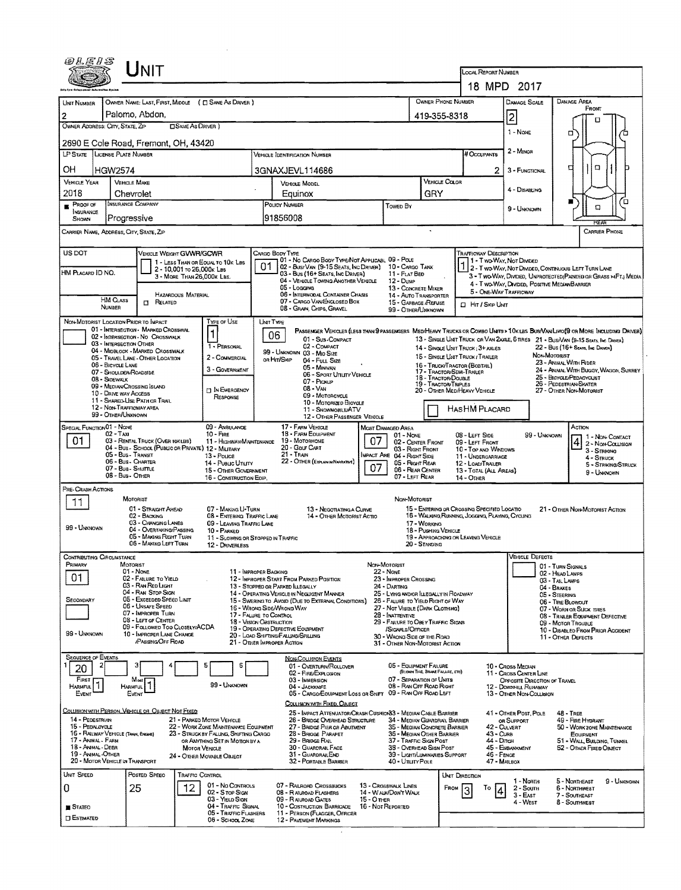|                                                                                                            |                                                                                                  | Unit                                                                                                                                                                                                                                                        |                                                                                                                                                                                                    |                                                                                   |                                                                                                                                                                                                                                                                                                                          |                                                                                                                                                                                                                                                                                                                                             |                                                       | <b>LOCAL REPORT NUMBER</b>                                                                                                                   |                                                                                                                                  |                                                                                                                                                                                                                                                               |  |  |  |  |  |
|------------------------------------------------------------------------------------------------------------|--------------------------------------------------------------------------------------------------|-------------------------------------------------------------------------------------------------------------------------------------------------------------------------------------------------------------------------------------------------------------|----------------------------------------------------------------------------------------------------------------------------------------------------------------------------------------------------|-----------------------------------------------------------------------------------|--------------------------------------------------------------------------------------------------------------------------------------------------------------------------------------------------------------------------------------------------------------------------------------------------------------------------|---------------------------------------------------------------------------------------------------------------------------------------------------------------------------------------------------------------------------------------------------------------------------------------------------------------------------------------------|-------------------------------------------------------|----------------------------------------------------------------------------------------------------------------------------------------------|----------------------------------------------------------------------------------------------------------------------------------|---------------------------------------------------------------------------------------------------------------------------------------------------------------------------------------------------------------------------------------------------------------|--|--|--|--|--|
|                                                                                                            |                                                                                                  |                                                                                                                                                                                                                                                             |                                                                                                                                                                                                    |                                                                                   |                                                                                                                                                                                                                                                                                                                          |                                                                                                                                                                                                                                                                                                                                             |                                                       |                                                                                                                                              | 18 MPD 2017                                                                                                                      |                                                                                                                                                                                                                                                               |  |  |  |  |  |
| <b>UNT NUMBER</b>                                                                                          |                                                                                                  | OWNER NAME: LAST, FIRST, MIDDLE ( C SAME AS DRIVER )                                                                                                                                                                                                        |                                                                                                                                                                                                    |                                                                                   |                                                                                                                                                                                                                                                                                                                          |                                                                                                                                                                                                                                                                                                                                             |                                                       | OWNER PHONE NUMBER                                                                                                                           | DAMAGE SCALE                                                                                                                     | DAMAGE AREA<br>FRONT                                                                                                                                                                                                                                          |  |  |  |  |  |
| $\overline{c}$                                                                                             | Palomo, Abdon,                                                                                   |                                                                                                                                                                                                                                                             |                                                                                                                                                                                                    |                                                                                   |                                                                                                                                                                                                                                                                                                                          | 419-355-8318                                                                                                                                                                                                                                                                                                                                |                                                       | 2                                                                                                                                            |                                                                                                                                  |                                                                                                                                                                                                                                                               |  |  |  |  |  |
| OWNER ADDRESS: CITY, STATE, ZIP                                                                            |                                                                                                  | <b>CISAME AS DRIVER</b> )                                                                                                                                                                                                                                   |                                                                                                                                                                                                    |                                                                                   |                                                                                                                                                                                                                                                                                                                          |                                                                                                                                                                                                                                                                                                                                             |                                                       |                                                                                                                                              | 1 - NONE                                                                                                                         | ъ<br>α                                                                                                                                                                                                                                                        |  |  |  |  |  |
|                                                                                                            | LP STATE LICENSE PLATE NUMBER                                                                    | 2690 E Cole Road, Fremont, OH, 43420                                                                                                                                                                                                                        |                                                                                                                                                                                                    |                                                                                   | VEHICLE IDENTIFICATION NUMBER                                                                                                                                                                                                                                                                                            |                                                                                                                                                                                                                                                                                                                                             |                                                       | # Occupants                                                                                                                                  | 2 - MINOR                                                                                                                        |                                                                                                                                                                                                                                                               |  |  |  |  |  |
| ОH                                                                                                         | <b>HGW2574</b>                                                                                   |                                                                                                                                                                                                                                                             |                                                                                                                                                                                                    |                                                                                   | 3GNAXJEVL114686                                                                                                                                                                                                                                                                                                          |                                                                                                                                                                                                                                                                                                                                             |                                                       |                                                                                                                                              |                                                                                                                                  | a<br>◘<br>n                                                                                                                                                                                                                                                   |  |  |  |  |  |
| <b>VEHICLE YEAR</b>                                                                                        | <b>VEHICLE MAKE</b>                                                                              |                                                                                                                                                                                                                                                             |                                                                                                                                                                                                    |                                                                                   | <b>VEHICLE MODEL</b>                                                                                                                                                                                                                                                                                                     |                                                                                                                                                                                                                                                                                                                                             | VEHICLE COLOR                                         | 2                                                                                                                                            | 3 - FUNCTIONAL                                                                                                                   |                                                                                                                                                                                                                                                               |  |  |  |  |  |
| 2018                                                                                                       | Chevrolet                                                                                        |                                                                                                                                                                                                                                                             |                                                                                                                                                                                                    |                                                                                   | Equinox                                                                                                                                                                                                                                                                                                                  |                                                                                                                                                                                                                                                                                                                                             | GRY                                                   |                                                                                                                                              | 4 - DISABLING                                                                                                                    |                                                                                                                                                                                                                                                               |  |  |  |  |  |
| PROOF OF<br>INSURANCE<br>SHOWN                                                                             | <b>INSURANCE COMPANY</b><br>Progressive                                                          |                                                                                                                                                                                                                                                             |                                                                                                                                                                                                    |                                                                                   | POLICY NUMBER<br>91856008                                                                                                                                                                                                                                                                                                | <b>TOWED BY</b>                                                                                                                                                                                                                                                                                                                             |                                                       |                                                                                                                                              | 9 - UNKNOWN                                                                                                                      | Έ<br>O                                                                                                                                                                                                                                                        |  |  |  |  |  |
|                                                                                                            | Carrier Name, Address, City, State, Zip                                                          |                                                                                                                                                                                                                                                             |                                                                                                                                                                                                    |                                                                                   |                                                                                                                                                                                                                                                                                                                          |                                                                                                                                                                                                                                                                                                                                             | $\bullet$                                             |                                                                                                                                              |                                                                                                                                  | REAR<br>CARRIER PHONE                                                                                                                                                                                                                                         |  |  |  |  |  |
|                                                                                                            |                                                                                                  |                                                                                                                                                                                                                                                             |                                                                                                                                                                                                    |                                                                                   |                                                                                                                                                                                                                                                                                                                          |                                                                                                                                                                                                                                                                                                                                             |                                                       |                                                                                                                                              |                                                                                                                                  |                                                                                                                                                                                                                                                               |  |  |  |  |  |
| US DOT                                                                                                     |                                                                                                  | VEHICLE WEIGHT GWWR/GCWR                                                                                                                                                                                                                                    | 1 - LESS THAN OR EQUAL TO 10K LBS                                                                                                                                                                  | 01                                                                                | Cargo Body Type<br>01 - No CARGO BODY TYPE/NOT APPLICABL 09 - POLE<br>02 - BUS/VAN (9-15 SEATS, INC DRIVER) 10 - CARGO TANK                                                                                                                                                                                              |                                                                                                                                                                                                                                                                                                                                             |                                                       | <b>TRAFFICWAY DESCRIPTION</b>                                                                                                                | 1 - Two-Way, Not Divided                                                                                                         | 7 2 - T WO-WAY, NOT DIVIDED, CONTINUOUS LEFT TURN LANE                                                                                                                                                                                                        |  |  |  |  |  |
| 2 - 10,001 ro 26,000 k Las<br>HM PLACARD ID NO.<br>3 - MORE THAN 26,000K LBS.                              |                                                                                                  |                                                                                                                                                                                                                                                             |                                                                                                                                                                                                    |                                                                                   | 03 - Bus (16+ SEATS, INC DRIVER)<br>04 - VEHICLE TOWING ANOTHER VEHICLE                                                                                                                                                                                                                                                  | 11 - FLAT BED<br>12 - Duse                                                                                                                                                                                                                                                                                                                  |                                                       |                                                                                                                                              |                                                                                                                                  | 3 - T WO-WAY, DIMDED, UNPROTECTED (PAINTED OR GRASS >4FT.) MEDIA                                                                                                                                                                                              |  |  |  |  |  |
| <b>HAZARDOUS MATERIAL</b><br>HM CLASS                                                                      |                                                                                                  |                                                                                                                                                                                                                                                             |                                                                                                                                                                                                    |                                                                                   | 05 - Logging<br>06 - INTERMODAL CONTAINER CHASES                                                                                                                                                                                                                                                                         | 13 - CONCRETE MIXER<br>14 - Auto Transporter                                                                                                                                                                                                                                                                                                |                                                       |                                                                                                                                              | 4 - T WO-WAY, DIVIDED, POSITIVE MEDIANBARRIER<br>5 - ONE-WAY TRAFFICWAY                                                          |                                                                                                                                                                                                                                                               |  |  |  |  |  |
|                                                                                                            | NUMBER                                                                                           | <b>EL RELATED</b>                                                                                                                                                                                                                                           |                                                                                                                                                                                                    |                                                                                   | 07 - CARGO VAN ENGLOSED BOX<br>08 - GRAIN, CHIPS, GRAVEL                                                                                                                                                                                                                                                                 | 15 - GARBAGE / REFUSE<br>99 - OTHER/UNKNOWN                                                                                                                                                                                                                                                                                                 |                                                       | <b>Q</b> HIT / SKIP UNIT                                                                                                                     |                                                                                                                                  |                                                                                                                                                                                                                                                               |  |  |  |  |  |
|                                                                                                            | NON-MOTORIST LOCATION PRIOR TO IMPACT                                                            | 01 - INTERSECTION - MARKED CROSSWAL                                                                                                                                                                                                                         | Type or Use                                                                                                                                                                                        | <b>UNIT TYPE</b>                                                                  |                                                                                                                                                                                                                                                                                                                          |                                                                                                                                                                                                                                                                                                                                             |                                                       |                                                                                                                                              |                                                                                                                                  | PASSENGER VEHICLES (LESS THAN 9 PASSENGERS MED/HEAVY TRUCKS OR COMBO UNITS > 10K LBS BUS/VAN/LIMO(9 OR MORE INCLUDING DRIVER)                                                                                                                                 |  |  |  |  |  |
|                                                                                                            | 03 - INTERSECTION OTHER                                                                          | 02 - INTERSECTION - NO CROSSWALK                                                                                                                                                                                                                            | $\mathbf{1}$<br>1 - PERSONAL                                                                                                                                                                       | 06                                                                                | 01 - Sub-COMPACT<br>02 - COMPACT                                                                                                                                                                                                                                                                                         |                                                                                                                                                                                                                                                                                                                                             |                                                       |                                                                                                                                              |                                                                                                                                  | 13 - SINGLE UNIT TRUCK OR VAN ZAXLE, 6 TIRES 21 - BUS/VAN (9-15 SEATS, INC DRIVER)                                                                                                                                                                            |  |  |  |  |  |
|                                                                                                            |                                                                                                  | 04 - MIDBLOCK - MARKED CROSSWALK<br>05 - TRAVEL LANE - OTHER LOCATION                                                                                                                                                                                       | 2 - COMMERCIAL                                                                                                                                                                                     |                                                                                   | 99 - UNKNOWN 03 - MID SIZE<br>os Hm/Sxip                                                                                                                                                                                                                                                                                 |                                                                                                                                                                                                                                                                                                                                             |                                                       | 15 - SINGLE UNIT TRUCK / TRAILER                                                                                                             | 14 - SINGLE UNIT TRUCK: 3+ AXLES<br>$22 - Bus(16 + S_{EAMS}$ Ing Daner)<br>NON-MOTORIST                                          |                                                                                                                                                                                                                                                               |  |  |  |  |  |
|                                                                                                            | 06 - BICYCLE LANE                                                                                |                                                                                                                                                                                                                                                             | 3 - GOVERNMENT                                                                                                                                                                                     |                                                                                   | 04 - Futt Size<br>05 - MINIVAN                                                                                                                                                                                                                                                                                           |                                                                                                                                                                                                                                                                                                                                             |                                                       | 16 - TRUCK/TRACTOR (BOBTAIL)                                                                                                                 |                                                                                                                                  | 23 - ANIMAL WITH RIDER<br>24 - ANIMAL WITH BUGGY, WAGON, SURREY                                                                                                                                                                                               |  |  |  |  |  |
|                                                                                                            | 07 - Shoulder/Roadside<br>08 - Sidewalk                                                          |                                                                                                                                                                                                                                                             |                                                                                                                                                                                                    |                                                                                   | 06 - SPORT UTILITY VEHICLE<br>07 - PICKUP                                                                                                                                                                                                                                                                                |                                                                                                                                                                                                                                                                                                                                             |                                                       | 17 - TRACTOR/SEMI-TRAILER<br>25 - BICYCLE/PEDACYCUST<br>18 - Tractor/Double<br>26 - PEDESTRIAN/SKATER<br>19 - TRACTOR/TRIPLES                |                                                                                                                                  |                                                                                                                                                                                                                                                               |  |  |  |  |  |
|                                                                                                            | 09 - MEDIAN CROSSING ISLAND<br>10 - DRIVE WAY ACCESS                                             |                                                                                                                                                                                                                                                             | <b>IT IN EMERGENCY</b><br>RESPONSE                                                                                                                                                                 |                                                                                   | 08 - VAN<br>09 - MOTORCYCLE                                                                                                                                                                                                                                                                                              |                                                                                                                                                                                                                                                                                                                                             |                                                       | 20 - OTHER MED/HEAVY VEHICLE<br>27 - OTHER NON-MOTORIST                                                                                      |                                                                                                                                  |                                                                                                                                                                                                                                                               |  |  |  |  |  |
|                                                                                                            | 11 - SHARED-USE PATH OR TRAIL<br>12 - NON-TRAFFICWAY AREA                                        |                                                                                                                                                                                                                                                             |                                                                                                                                                                                                    |                                                                                   | 10 - MOTORIZED BICYCLE<br>11 - SNOWMOBILE/ATV                                                                                                                                                                                                                                                                            |                                                                                                                                                                                                                                                                                                                                             |                                                       | <b>HASHM PLACARD</b>                                                                                                                         |                                                                                                                                  |                                                                                                                                                                                                                                                               |  |  |  |  |  |
| <b>SPECIAL FUNCTION 01 - NONE</b>                                                                          | 99 - OTHER/UNKNOWN                                                                               |                                                                                                                                                                                                                                                             | 09 - AMBULANCE                                                                                                                                                                                     |                                                                                   | 12 - OTHER PASSENGER VEHICLE<br>17 - FARM VEHICLE                                                                                                                                                                                                                                                                        |                                                                                                                                                                                                                                                                                                                                             |                                                       |                                                                                                                                              |                                                                                                                                  | ACTION                                                                                                                                                                                                                                                        |  |  |  |  |  |
| 01                                                                                                         | $02 - T$ AXI<br>05 - Bus TRANSIT<br>06 - Bus - Charter<br>07 - Bus - SHUTTLE<br>08 - Bus - OTHER | 03 - RENTAL TRUCK (OVER 10KLBS)<br>04 - Bus - SCHOOL (PUBLIC OR PRIVATE) 12 - MILITARY                                                                                                                                                                      | $10 -$ Fine<br>11 - HIGHWAY/MAINTENANCE<br>13 - Pouce<br>14 - Pueuc Ununy<br>15 - OTHER GOVERNMENT<br>16 - CONSTRUCTION EOIP,                                                                      |                                                                                   | 18 - FARM EQUIPMENT<br>19 - MOTORHOME<br>07<br>20 - GDLF CART<br>21 - TRAN<br>22 - OTHER (EXPLANIN NARRATIVE)<br>07                                                                                                                                                                                                      | Most Damaged Area<br>01 - None<br>03 - Right Front<br>MPACT ARE 04 - RIGHT SIDE<br>05 - Right REAR<br>07 - LEFT REAR                                                                                                                                                                                                                        | 02 - CENTER FRONT<br>06 - REAR CENTER                 | 08 - LEFT SIDE<br>09 - LEFT FRONT<br>10 - Top and Windows<br>11 - UNDERCARRIAGE<br>12 - LOAD/TRAILER<br>13 - TOTAL (ALL AREAS)<br>14 - Отнев | 99 - Unknown                                                                                                                     | 1 1 - NDN CONTACT<br>4<br>2 - Non-Coursion<br>3 - STRIKING<br>4 - STRUCK<br>5 - STRIKING/STRUCK<br>9 - UNKNOWN                                                                                                                                                |  |  |  |  |  |
| PRE-CRASH ACTIONS<br>11<br>99 - Unknown                                                                    | MOTORIST                                                                                         | 01 - STRAIGHT AHEAD<br>02 - BACKING<br>03 - CHANGING LANES<br>04 - OVERTAKING/PASSING<br>05 - MAKING RIGHT TURN<br>06 - MAKING LEFT TURN                                                                                                                    | 07 - MAKING LI-TURN<br><b>08 - ENTERING TRAFFIC LANE</b><br>09 - LEAVING TRAFFIC LANE<br>10 - PARKED<br>11 - SLOWING OR STOPPED IN TRAFFIC<br>12 - DRIVERLESS                                      |                                                                                   | 13 - NEGOTIATING A CURVE<br>14 - OTHER MOTORIST ACTIO                                                                                                                                                                                                                                                                    | Non-Motorist                                                                                                                                                                                                                                                                                                                                | 17 - WORKING<br>18 - Pushing Vehicle<br>20 - Standing | 15 - ENTERING OR CROSSING SPECIFIED LOCATIO<br>16 - WALKING RUMING, JOGGING, PLAYING, CYCLING<br>19 - APPROACHING OR LEAVING VEHICLE         |                                                                                                                                  | 21 - OTHER NON MOTORIST ACTION                                                                                                                                                                                                                                |  |  |  |  |  |
| PRIMARY<br>01<br>SECONDARY<br>99 - UMKNOWN                                                                 | Contributing Circumstance<br>MOTORIST<br>01 - NONE                                               | 02 - FAILURE TO YIELD<br>03 - RAN RED LIGHT<br>04 - RAN STOP SIGN<br>05 - Exceeped Speed Limit<br>06 - UNSAFE SPEED<br>07 - IMPROPER TURN<br>08 - LEFT OF CENTER<br>09 - FOLLOWED TOO CLOSELY/ACDA<br>10 - IMPROPER LANE CHANGE<br><b>/PASSING OFF ROAD</b> |                                                                                                                                                                                                    | 11 - IMPROPER BACKING<br>17 - FALURE TO CONTROL<br><b>18 - Vision OastRuction</b> | 12 - IMPROPER START FROM PARKED POSITION<br>13 - Stopped or Parked ILLEGALLY<br>14 - OPERATING VEHICLE IN NEGLIGENT MANNER<br>15 - SWERING TO AVOID (DUE TO EXTERNAL CONDITIONS)<br>16 - Waong Side/Wrong Way<br>19 - OPERATING DEFECTIVE EQUIPMENT<br>20 - LOAD SHIFTING/FALLING/SPILLING<br>21 - OTHER IMPROPER ACTION | <b>NON-MOTORIST</b><br>22 - NONE<br>23 - IMPROPER CROSSING<br>24 - DARTING<br>25 - LYING AND/OR ILLEGALLY IN ROADWAY<br>26 - FALURE TO YIELD RIGHT OF WAY<br>27 - Not Visible (DARK CLOTHING)<br>28 - INATTENTIVE<br>29 - FALURE TO OBEY TRAFFIC SIGNS<br>/SIGNALS/OFFICER<br>30 - WRONG SIDE OF THE ROAD<br>31 - OTHER NON-MOTORIST ACTION |                                                       |                                                                                                                                              | VEHICLE L'EFECTS                                                                                                                 | 01 - TURN SIGNALS<br>02 - HEAD LAMPS<br>03 - TAIL LAMPS<br>04 - BRAKES<br>05 - STEERING<br>06 - TIRE BLOWDUT<br>07 - WORN OR SLICK TIRES<br>08 - TRAILER EQUIPMENT DEFECTIVE<br>09 - Motor Trouble<br>10 - DISABLED FROM PRIOR ACCIDENT<br>11 - OTHER DEFECTS |  |  |  |  |  |
| <b>SEQUENCE OF EVENTS</b><br>20<br>FIRST<br>$\mathbf{1}$<br><b>HARMFUL</b><br>Event                        | 2<br>EVENT                                                                                       | Most 1                                                                                                                                                                                                                                                      | 6<br>99 - UNKNOWN                                                                                                                                                                                  |                                                                                   | <b>NON-COLLISION EVENTS</b><br>01 - OVERTURN/ROLLOVER<br>02 - FIRE/EXPLOSION<br>03 - IMMERSION<br>04 - JACKKNIFE<br>05 - CARGO/EQUIPMENT LOSS OR SHIFT 09 - RAN OFF ROAD LEFT<br>COLLISION WITH FIXED, OBJECT                                                                                                            | 05 - EQUIPMENT FAILURE<br>07 - SEPARATION OF UNITS<br>08 - RAN OFF ROAD RIGHT                                                                                                                                                                                                                                                               | (BLOWN TIRE, BRAKE FALURE, ETC)                       |                                                                                                                                              | 10 - Cross Median<br>11 - Cross CENTER LINE<br>OPPOSITE DIRECTION OF TRAVEL<br>12 - DOWNHILL RUNAWAY<br>13 - OTHER NON-COLLISION |                                                                                                                                                                                                                                                               |  |  |  |  |  |
| 14 - PEDESTRIAN<br>15 - PEDALCYCLE<br>17 - Animal - Farm<br>18 - ANIMAL - DEER<br><b>19 - ANIMAL OTHER</b> | 16 - RAILWAY VEHICLE (TRAIN, ENGINE)<br>20 - MOTOR VEHICLE IN TRANSPORT                          | COLLISION WITH PERSON, VEHICLE OR OBJECT NOT FIXED                                                                                                                                                                                                          | 21 - PARKED MOTOR VEHICLE<br>22 - WORK ZONE MAINTENANCE EQUIPMENT<br>23 - STRUCK BY FALLING, SHIFTING CARGO<br>OR ANYTHING SET IN MOTION BY A<br><b>MOTOR VEHICLE</b><br>24 - OTHER MOVABLE OBJECT |                                                                                   | 25 - IMPACT ATTENUATOR/CRASH CUSHION33 - MEDIAN CABLE BARRIER<br>26 - BRIDGE OVERHEAD STRUCTURE<br>27 - BRIDGE PIER OR ABUTMENT<br>28 - BRIOGE PARAPET<br>29 - BRIDGE RAIL<br>30 - GUARDRAIL FACE<br>31 - GUARDRAILEND<br>32 - PORTABLE BARRIER                                                                          | 34 - MEDIAN GUARDRAIL BARRIER<br>35 - MEDIAN CONCRETE BARRIER<br>36 - MEDIAN OTHER BARRIER<br>37 - TRAFFIC SIGN POST<br>38 - OVERHEAD SIGN POST<br>39 - LIGHT/LUMINARIES SUPPORT<br>40 - Unury Pole                                                                                                                                         |                                                       | 43 - Curb<br>44 - Олсн<br>46 - Fence                                                                                                         | 41 - Other Post, Pole<br>OR SUPPORT<br>42 - CULVERT<br>45 - Embankment<br>47 - Malbox                                            | $48 - $ TREE<br>49 - FIRE HYDRANT<br>50 - WORK ZONE MAINTENANCE<br>EQUIPMENT<br>51 - WALL BUILDING, TUNNEL<br>52 - Other Fixed Object                                                                                                                         |  |  |  |  |  |
| UNIT SPEED<br>0<br>$S$ TATEO<br>$\square$ Estimated                                                        | 25                                                                                               | POSTED SPEEO<br>12                                                                                                                                                                                                                                          | <b>TRAFFIC CONTROL</b><br>01 - No Controls<br>02 - S TOP SIGN<br>03 - YIELD SIGN<br>04 - Traffic Signal<br>05 - TRAFFIC FLASHERS<br>06 - SCHOOL ZONE                                               |                                                                                   | 07 - RALROAD CROSSBUCKS<br>08 - RAUROAD FLASHERS<br>09 - RAUROAD GATES<br>15 - O THER<br>10 - COSTRUCTION BARRICADE<br>11 - PERSON (FLAGGER, OFFICER<br><b>12 - PAVEMENT MARKINGS</b>                                                                                                                                    | 13 - CROSSWALK LINES<br>14 - WALK/DON'T WALK<br>16 - Not Reported                                                                                                                                                                                                                                                                           |                                                       | UNIT DIRECTION<br>FROM<br>To<br>$\vert 4 \vert$                                                                                              | 1 - North<br>2 - South<br>$3 - E$ AST<br>4 - West                                                                                | 5 - Northeast<br>9 - Unknown<br>6 - Northwest<br>7 - SOUTHEAST<br>8 - Southwest                                                                                                                                                                               |  |  |  |  |  |

 $\label{eq:2} \mathcal{L}_{\text{max}} = \mathcal{L}_{\text{max}} \left( \mathcal{L}_{\text{max}} \right)$